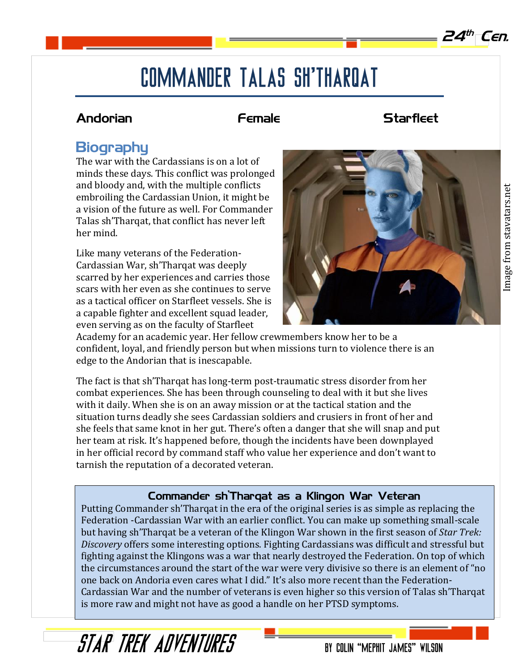$24<sup>th</sup>$  Cen.

# COMMANDER TALAS SH'THAROAT

### Andorian **Female** Female Starfleet

## **Biography**

The war with the Cardassians is on a lot of minds these days. This conflict was prolonged and bloody and, with the multiple conflicts embroiling the Cardassian Union, it might be a vision of the future as well. For Commander Talas sh'Tharqat, that conflict has never left her mind.

Like many veterans of the Federation-Cardassian War, sh'Tharqat was deeply scarred by her experiences and carries those scars with her even as she continues to serve as a tactical officer on Starfleet vessels. She is a capable fighter and excellent squad leader, even serving as on the faculty of Starfleet



Academy for an academic year. Her fellow crewmembers know her to be a confident, loyal, and friendly person but when missions turn to violence there is an edge to the Andorian that is inescapable.

The fact is that sh'Tharqat has long-term post-traumatic stress disorder from her combat experiences. She has been through counseling to deal with it but she lives with it daily. When she is on an away mission or at the tactical station and the situation turns deadly she sees Cardassian soldiers and crusiers in front of her and she feels that same knot in her gut. There's often a danger that she will snap and put her team at risk. It's happened before, though the incidents have been downplayed in her official record by command staff who value her experience and don't want to tarnish the reputation of a decorated veteran.

### Commander sh'Tharqat as a Klingon War Veteran

Putting Commander sh'Tharqat in the era of the original series is as simple as replacing the Federation -Cardassian War with an earlier conflict. You can make up something small-scale but having sh'Tharqat be a veteran of the Klingon War shown in the first season of *Star Trek: Discovery* offers some interesting options. Fighting Cardassians was difficult and stressful but fighting against the Klingons was a war that nearly destroyed the Federation. On top of which the circumstances around the start of the war were very divisive so there is an element of "no one back on Andoria even cares what I did." It's also more recent than the Federation-Cardassian War and the number of veterans is even higher so this version of Talas sh'Tharqat is more raw and might not have as good a handle on her PTSD symptoms.